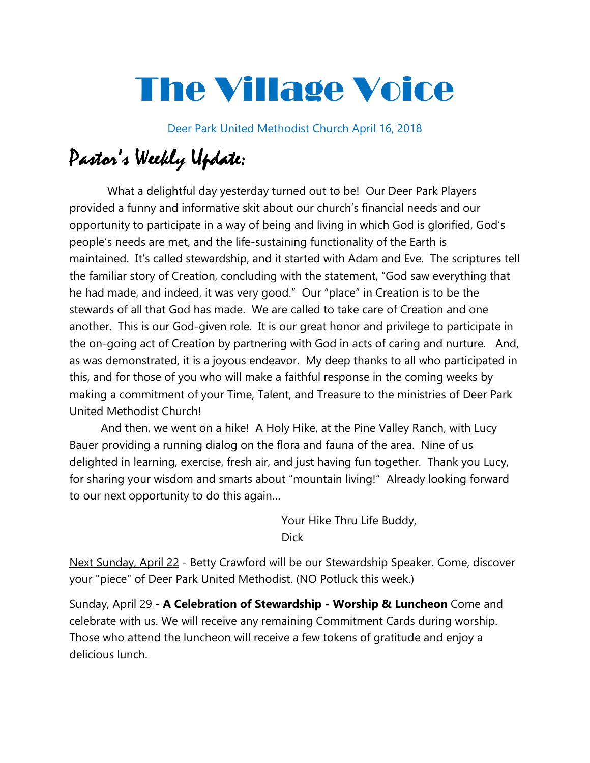# The Village Voice

Deer Park United Methodist Church April 16, 2018

# Pastor's Weekly Update:

 What a delightful day yesterday turned out to be! Our Deer Park Players provided a funny and informative skit about our church's financial needs and our opportunity to participate in a way of being and living in which God is glorified, God's people's needs are met, and the life-sustaining functionality of the Earth is maintained. It's called stewardship, and it started with Adam and Eve. The scriptures tell the familiar story of Creation, concluding with the statement, "God saw everything that he had made, and indeed, it was very good." Our "place" in Creation is to be the stewards of all that God has made. We are called to take care of Creation and one another. This is our God-given role. It is our great honor and privilege to participate in the on-going act of Creation by partnering with God in acts of caring and nurture. And, as was demonstrated, it is a joyous endeavor. My deep thanks to all who participated in this, and for those of you who will make a faithful response in the coming weeks by making a commitment of your Time, Talent, and Treasure to the ministries of Deer Park United Methodist Church!

 And then, we went on a hike! A Holy Hike, at the Pine Valley Ranch, with Lucy Bauer providing a running dialog on the flora and fauna of the area. Nine of us delighted in learning, exercise, fresh air, and just having fun together. Thank you Lucy, for sharing your wisdom and smarts about "mountain living!" Already looking forward to our next opportunity to do this again…

> Your Hike Thru Life Buddy, Dick

Next Sunday, April 22 - Betty Crawford will be our Stewardship Speaker. Come, discover your "piece" of Deer Park United Methodist. (NO Potluck this week.)

Sunday, April 29 - A Celebration of Stewardship - Worship & Luncheon Come and celebrate with us. We will receive any remaining Commitment Cards during worship. Those who attend the luncheon will receive a few tokens of gratitude and enjoy a delicious lunch.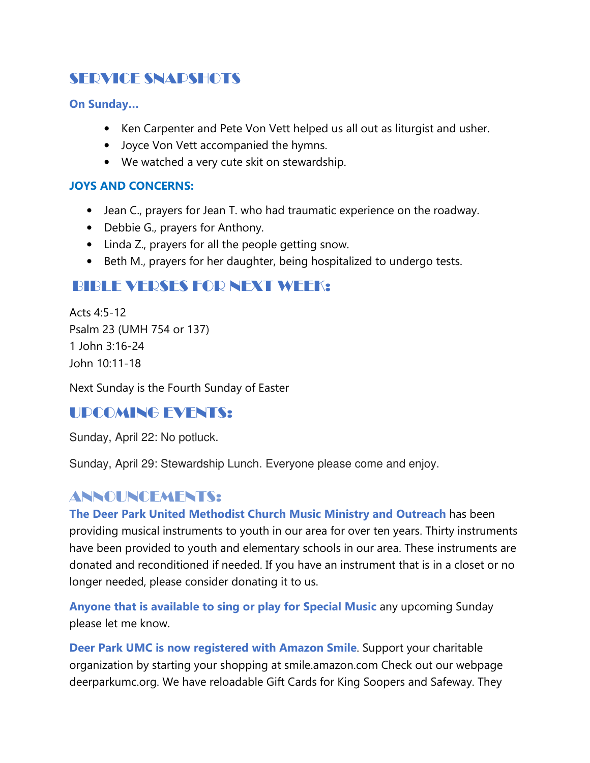# SERVICE SNAPSHOTS

On Sunday…

- Ken Carpenter and Pete Von Vett helped us all out as liturgist and usher.
- Joyce Von Vett accompanied the hymns.
- We watched a very cute skit on stewardship.

#### JOYS AND CONCERNS:

- Jean C., prayers for Jean T. who had traumatic experience on the roadway.
- Debbie G., prayers for Anthony.
- Linda Z., prayers for all the people getting snow.
- Beth M., prayers for her daughter, being hospitalized to undergo tests.

# BIBLE VERSES FOR NEXT WEEK:

Acts 4:5-12 Psalm 23 (UMH 754 or 137) 1 John 3:16-24 John 10:11-18

Next Sunday is the Fourth Sunday of Easter

## UPCOMING EVENTS:

Sunday, April 22: No potluck.

Sunday, April 29: Stewardship Lunch. Everyone please come and enjoy.

## ANNOUNCEMENTS:

The Deer Park United Methodist Church Music Ministry and Outreach has been providing musical instruments to youth in our area for over ten years. Thirty instruments have been provided to youth and elementary schools in our area. These instruments are donated and reconditioned if needed. If you have an instrument that is in a closet or no longer needed, please consider donating it to us.

Anyone that is available to sing or play for Special Music any upcoming Sunday please let me know.

Deer Park UMC is now registered with Amazon Smile. Support your charitable organization by starting your shopping at smile.amazon.com Check out our webpage deerparkumc.org. We have reloadable Gift Cards for King Soopers and Safeway. They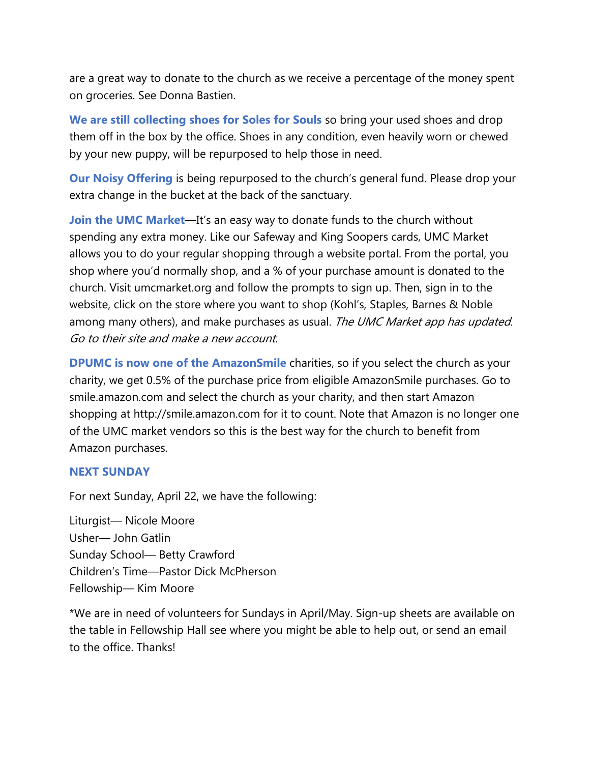are a great way to donate to the church as we receive a percentage of the money spent on groceries. See Donna Bastien.

We are still collecting shoes for Soles for Souls so bring your used shoes and drop them off in the box by the office. Shoes in any condition, even heavily worn or chewed by your new puppy, will be repurposed to help those in need.

Our Noisy Offering is being repurposed to the church's general fund. Please drop your extra change in the bucket at the back of the sanctuary.

Join the UMC Market—It's an easy way to donate funds to the church without spending any extra money. Like our Safeway and King Soopers cards, UMC Market allows you to do your regular shopping through a website portal. From the portal, you shop where you'd normally shop, and a % of your purchase amount is donated to the church. Visit umcmarket.org and follow the prompts to sign up. Then, sign in to the website, click on the store where you want to shop (Kohl's, Staples, Barnes & Noble among many others), and make purchases as usual. The UMC Market app has updated. Go to their site and make a new account.

DPUMC is now one of the AmazonSmile charities, so if you select the church as your charity, we get 0.5% of the purchase price from eligible AmazonSmile purchases. Go to smile.amazon.com and select the church as your charity, and then start Amazon shopping at http://smile.amazon.com for it to count. Note that Amazon is no longer one of the UMC market vendors so this is the best way for the church to benefit from Amazon purchases.

#### NEXT SUNDAY

For next Sunday, April 22, we have the following:

Liturgist— Nicole Moore Usher— John Gatlin Sunday School— Betty Crawford Children's Time—Pastor Dick McPherson Fellowship— Kim Moore

\*We are in need of volunteers for Sundays in April/May. Sign-up sheets are available on the table in Fellowship Hall see where you might be able to help out, or send an email to the office. Thanks!